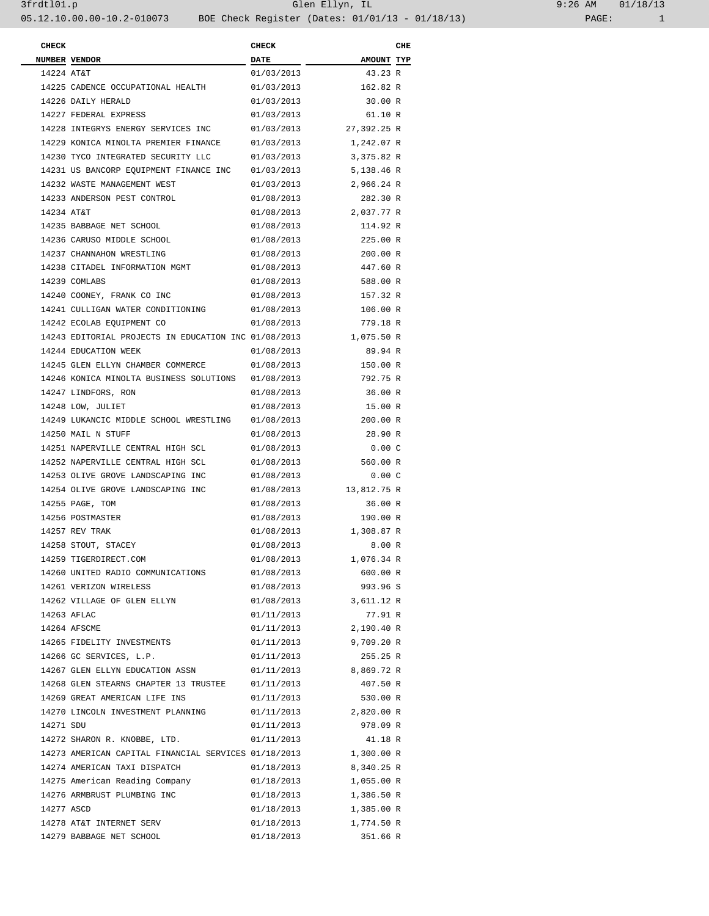| 9:26 AM |       | 01/18/13 |
|---------|-------|----------|
|         | PAGE: |          |

| <b>CHECK</b> |                                                      | <b>CHECK</b> |             | CHE |
|--------------|------------------------------------------------------|--------------|-------------|-----|
|              | NUMBER VENDOR                                        | <b>DATE</b>  | AMOUNT TYP  |     |
| 14224 AT&T   |                                                      | 01/03/2013   | 43.23 R     |     |
|              | 14225 CADENCE OCCUPATIONAL HEALTH                    | 01/03/2013   | 162.82 R    |     |
|              | 14226 DAILY HERALD                                   | 01/03/2013   | 30.00 R     |     |
|              | 14227 FEDERAL EXPRESS                                | 01/03/2013   | 61.10 R     |     |
|              | 14228 INTEGRYS ENERGY SERVICES INC                   | 01/03/2013   | 27,392.25 R |     |
|              | 14229 KONICA MINOLTA PREMIER FINANCE                 | 01/03/2013   | 1,242.07 R  |     |
|              | 14230 TYCO INTEGRATED SECURITY LLC                   | 01/03/2013   | 3,375.82 R  |     |
|              | 14231 US BANCORP EQUIPMENT FINANCE INC               | 01/03/2013   | 5,138.46 R  |     |
|              | 14232 WASTE MANAGEMENT WEST                          | 01/03/2013   | 2,966.24 R  |     |
|              | 14233 ANDERSON PEST CONTROL                          | 01/08/2013   | 282.30 R    |     |
| 14234 AT&T   |                                                      | 01/08/2013   | 2,037.77 R  |     |
|              | 14235 BABBAGE NET SCHOOL                             | 01/08/2013   | 114.92 R    |     |
|              | 14236 CARUSO MIDDLE SCHOOL                           | 01/08/2013   | 225.00 R    |     |
|              | 14237 CHANNAHON WRESTLING                            | 01/08/2013   | 200.00 R    |     |
|              | 14238 CITADEL INFORMATION MGMT                       | 01/08/2013   | 447.60 R    |     |
|              | 14239 COMLABS                                        | 01/08/2013   | 588.00 R    |     |
|              | 14240 COONEY, FRANK CO INC                           | 01/08/2013   | 157.32 R    |     |
|              | 14241 CULLIGAN WATER CONDITIONING                    | 01/08/2013   | 106.00 R    |     |
|              | 14242 ECOLAB EQUIPMENT CO                            | 01/08/2013   | 779.18 R    |     |
|              | 14243 EDITORIAL PROJECTS IN EDUCATION INC 01/08/2013 |              | 1,075.50 R  |     |
|              | 14244 EDUCATION WEEK                                 | 01/08/2013   | 89.94 R     |     |
|              | 14245 GLEN ELLYN CHAMBER COMMERCE                    | 01/08/2013   | 150.00 R    |     |
|              | 14246 KONICA MINOLTA BUSINESS SOLUTIONS              | 01/08/2013   | 792.75 R    |     |
|              | 14247 LINDFORS, RON                                  | 01/08/2013   | 36.00 R     |     |
|              | 14248 LOW, JULIET                                    | 01/08/2013   | 15.00 R     |     |
|              | 14249 LUKANCIC MIDDLE SCHOOL WRESTLING               | 01/08/2013   | 200.00 R    |     |
|              | 14250 MAIL N STUFF                                   | 01/08/2013   | 28.90 R     |     |
|              | 14251 NAPERVILLE CENTRAL HIGH SCL                    | 01/08/2013   | $0.00\,$ C  |     |
|              | 14252 NAPERVILLE CENTRAL HIGH SCL                    | 01/08/2013   | 560.00 R    |     |
|              | 14253 OLIVE GROVE LANDSCAPING INC                    | 01/08/2013   | 0.00C       |     |
|              | 14254 OLIVE GROVE LANDSCAPING INC                    | 01/08/2013   | 13,812.75 R |     |
|              | 14255 PAGE, TOM                                      | 01/08/2013   | 36.00 R     |     |
|              | 14256 POSTMASTER                                     | 01/08/2013   | 190.00 R    |     |
|              | 14257 REV TRAK                                       | 01/08/2013   | 1,308.87 R  |     |
|              | 14258 STOUT, STACEY                                  | 01/08/2013   | 8.00R       |     |
|              | 14259 TIGERDIRECT.COM                                | 01/08/2013   | 1,076.34 R  |     |
|              | 14260 UNITED RADIO COMMUNICATIONS                    | 01/08/2013   | 600.00 R    |     |
|              | 14261 VERIZON WIRELESS                               | 01/08/2013   | 993.96 S    |     |
|              | 14262 VILLAGE OF GLEN ELLYN                          | 01/08/2013   | 3,611.12 R  |     |
|              | 14263 AFLAC                                          | 01/11/2013   | 77.91 R     |     |
|              | 14264 AFSCME                                         | 01/11/2013   | 2,190.40 R  |     |
|              | 14265 FIDELITY INVESTMENTS                           | 01/11/2013   | 9,709.20 R  |     |
|              | 14266 GC SERVICES, L.P.                              | 01/11/2013   | 255.25 R    |     |
|              | 14267 GLEN ELLYN EDUCATION ASSN                      | 01/11/2013   | 8,869.72 R  |     |
|              | 14268 GLEN STEARNS CHAPTER 13 TRUSTEE                | 01/11/2013   | 407.50 R    |     |
|              | 14269 GREAT AMERICAN LIFE INS                        | 01/11/2013   | 530.00 R    |     |
|              | 14270 LINCOLN INVESTMENT PLANNING                    | 01/11/2013   | 2,820.00 R  |     |
| 14271 SDU    |                                                      | 01/11/2013   | 978.09 R    |     |
|              | 14272 SHARON R. KNOBBE, LTD.                         | 01/11/2013   | 41.18 R     |     |
|              | 14273 AMERICAN CAPITAL FINANCIAL SERVICES 01/18/2013 |              | 1,300.00 R  |     |
|              | 14274 AMERICAN TAXI DISPATCH                         | 01/18/2013   | 8,340.25 R  |     |
|              | 14275 American Reading Company                       | 01/18/2013   | 1,055.00 R  |     |
|              | 14276 ARMBRUST PLUMBING INC                          | 01/18/2013   | 1,386.50 R  |     |
| 14277 ASCD   |                                                      | 01/18/2013   | 1,385.00 R  |     |
|              | 14278 AT&T INTERNET SERV                             | 01/18/2013   | 1,774.50 R  |     |
|              | 14279 BABBAGE NET SCHOOL                             | 01/18/2013   | 351.66 R    |     |
|              |                                                      |              |             |     |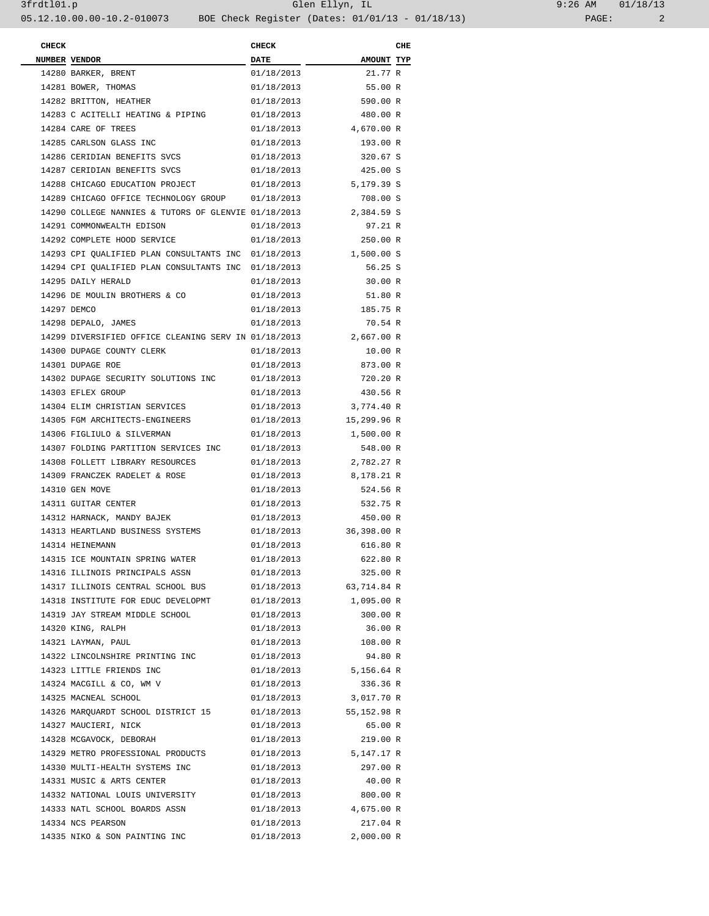| <b>CHECK</b> |                                                      | <b>CHECK</b> |                        | CHE |
|--------------|------------------------------------------------------|--------------|------------------------|-----|
|              | NUMBER VENDOR                                        | <b>DATE</b>  | <b>AMOUNT TYP</b>      |     |
|              | 14280 BARKER, BRENT                                  | 01/18/2013   | 21.77 R                |     |
|              | 14281 BOWER, THOMAS                                  | 01/18/2013   | 55.00 R                |     |
|              | 14282 BRITTON, HEATHER                               | 01/18/2013   | 590.00 R               |     |
|              | 14283 C ACITELLI HEATING & PIPING                    | 01/18/2013   | 480.00 R               |     |
|              | 14284 CARE OF TREES                                  | 01/18/2013   | 4,670.00 R             |     |
|              | 14285 CARLSON GLASS INC                              | 01/18/2013   | 193.00 R               |     |
|              | 14286 CERIDIAN BENEFITS SVCS                         | 01/18/2013   | 320.67 S               |     |
|              | 14287 CERIDIAN BENEFITS SVCS                         | 01/18/2013   | 425.00 S               |     |
|              | 14288 CHICAGO EDUCATION PROJECT                      | 01/18/2013   | 5,179.39 S             |     |
|              | 14289 CHICAGO OFFICE TECHNOLOGY GROUP                | 01/18/2013   | 708.00 S               |     |
|              | 14290 COLLEGE NANNIES & TUTORS OF GLENVIE 01/18/2013 |              | 2,384.59 S             |     |
|              | 14291 COMMONWEALTH EDISON                            | 01/18/2013   | 97.21 R                |     |
|              | 14292 COMPLETE HOOD SERVICE                          | 01/18/2013   | 250.00 R               |     |
|              | 14293 CPI QUALIFIED PLAN CONSULTANTS INC 01/18/2013  |              | 1,500.00 S             |     |
|              | 14294 CPI OUALIFIED PLAN CONSULTANTS INC 01/18/2013  |              | 56.25 S                |     |
|              | 14295 DAILY HERALD                                   | 01/18/2013   | 30.00 R                |     |
|              | 14296 DE MOULIN BROTHERS & CO                        | 01/18/2013   | 51.80 R                |     |
|              | 14297 DEMCO                                          | 01/18/2013   | 185.75 R               |     |
|              | 14298 DEPALO, JAMES                                  | 01/18/2013   | 70.54 R                |     |
|              | 14299 DIVERSIFIED OFFICE CLEANING SERV IN 01/18/2013 |              | 2,667.00 R             |     |
|              | 14300 DUPAGE COUNTY CLERK                            | 01/18/2013   | 10.00 R                |     |
|              | 14301 DUPAGE ROE                                     | 01/18/2013   | 873.00 R               |     |
|              | 14302 DUPAGE SECURITY SOLUTIONS INC                  | 01/18/2013   | 720.20 R               |     |
|              | 14303 EFLEX GROUP                                    | 01/18/2013   | 430.56 R               |     |
|              | 14304 ELIM CHRISTIAN SERVICES                        | 01/18/2013   | 3,774.40 R             |     |
|              | 14305 FGM ARCHITECTS-ENGINEERS                       | 01/18/2013   | 15,299.96 R            |     |
|              | 14306 FIGLIULO & SILVERMAN                           | 01/18/2013   | 1,500.00 R             |     |
|              | 14307 FOLDING PARTITION SERVICES INC                 | 01/18/2013   | 548.00 R               |     |
|              | 14308 FOLLETT LIBRARY RESOURCES                      |              | 2,782.27 R             |     |
|              |                                                      | 01/18/2013   |                        |     |
|              | 14309 FRANCZEK RADELET & ROSE<br>14310 GEN MOVE      | 01/18/2013   | 8,178.21 R<br>524.56 R |     |
|              |                                                      | 01/18/2013   |                        |     |
|              | 14311 GUITAR CENTER                                  | 01/18/2013   | 532.75 R               |     |
|              | 14312 HARNACK, MANDY BAJEK                           | 01/18/2013   | 450.00 R               |     |
|              | 14313 HEARTLAND BUSINESS SYSTEMS                     | 01/18/2013   | 36,398.00 R            |     |
|              | 14314 HEINEMANN                                      | 01/18/2013   | 616.80 R               |     |
|              | 14315 ICE MOUNTAIN SPRING WATER                      | 01/18/2013   | 622.80 R               |     |
|              | 14316 ILLINOIS PRINCIPALS ASSN                       | 01/18/2013   | 325.00 R               |     |
|              | 14317 ILLINOIS CENTRAL SCHOOL BUS                    | 01/18/2013   | 63,714.84 R            |     |
|              | 14318 INSTITUTE FOR EDUC DEVELOPMT                   | 01/18/2013   | 1,095.00 R             |     |
|              | 14319 JAY STREAM MIDDLE SCHOOL                       | 01/18/2013   | 300.00 R               |     |
|              | 14320 KING, RALPH                                    | 01/18/2013   | 36.00 R                |     |
|              | 14321 LAYMAN, PAUL                                   | 01/18/2013   | 108.00 R               |     |
|              | 14322 LINCOLNSHIRE PRINTING INC                      | 01/18/2013   | 94.80 R                |     |
|              | 14323 LITTLE FRIENDS INC                             | 01/18/2013   | 5,156.64 R             |     |
|              | 14324 MACGILL & CO, WM V                             | 01/18/2013   | 336.36 R               |     |
|              | 14325 MACNEAL SCHOOL                                 | 01/18/2013   | 3,017.70 R             |     |
|              | 14326 MARQUARDT SCHOOL DISTRICT 15                   | 01/18/2013   | 55,152.98 R            |     |
|              | 14327 MAUCIERI, NICK                                 | 01/18/2013   | 65.00 R                |     |
|              | 14328 MCGAVOCK, DEBORAH                              | 01/18/2013   | 219.00 R               |     |
|              | 14329 METRO PROFESSIONAL PRODUCTS                    | 01/18/2013   | 5,147.17 R             |     |
|              | 14330 MULTI-HEALTH SYSTEMS INC                       | 01/18/2013   | 297.00 R               |     |
|              | 14331 MUSIC & ARTS CENTER                            | 01/18/2013   | 40.00 R                |     |
|              | 14332 NATIONAL LOUIS UNIVERSITY                      | 01/18/2013   | 800.00 R               |     |
|              | 14333 NATL SCHOOL BOARDS ASSN                        | 01/18/2013   | 4,675.00 R             |     |
|              | 14334 NCS PEARSON                                    | 01/18/2013   | 217.04 R               |     |
|              | 14335 NIKO & SON PAINTING INC                        | 01/18/2013   | 2,000.00 R             |     |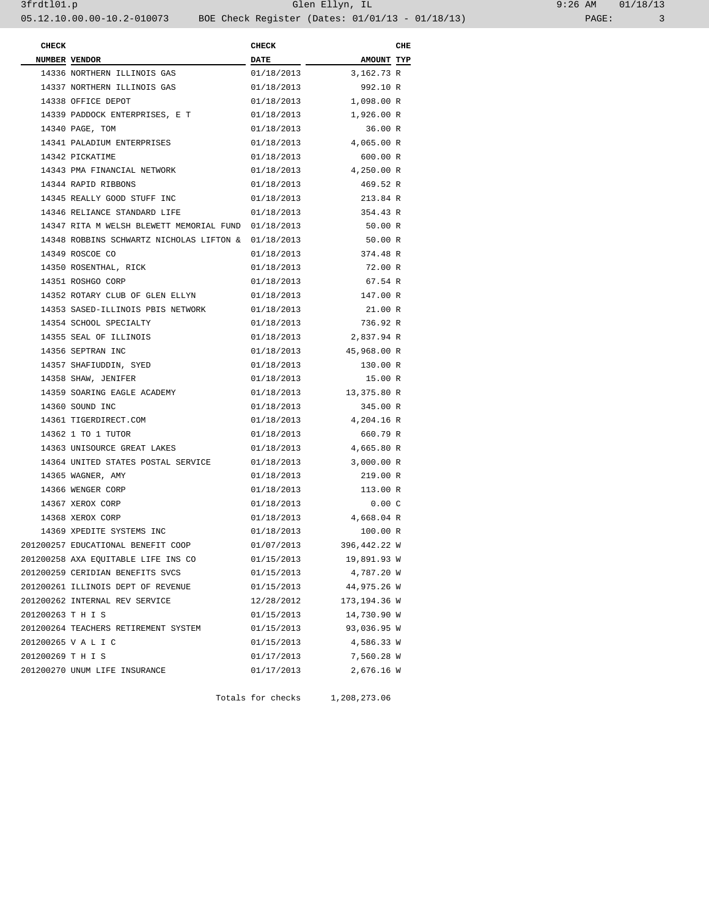| 9:26 AM |       | 01/18/13 |
|---------|-------|----------|
|         | PAGE: |          |

| <b>CHECK</b>      |                                                     | <b>CHECK</b> |                        | CHE |
|-------------------|-----------------------------------------------------|--------------|------------------------|-----|
|                   | <b>NUMBER VENDOR</b>                                | <b>DATE</b>  | AMOUNT TYP             |     |
|                   | 14336 NORTHERN ILLINOIS GAS                         | 01/18/2013   | 3,162.73 R             |     |
|                   | 14337 NORTHERN ILLINOIS GAS                         | 01/18/2013   | 992.10 R               |     |
|                   | 14338 OFFICE DEPOT                                  | 01/18/2013   | 1,098.00 R             |     |
|                   | 14339 PADDOCK ENTERPRISES, E T                      | 01/18/2013   | 1,926.00 R             |     |
|                   | 14340 PAGE, TOM                                     | 01/18/2013   | 36.00 R                |     |
|                   | 14341 PALADIUM ENTERPRISES                          | 01/18/2013   | 4,065.00 R             |     |
|                   | 14342 PICKATIME                                     | 01/18/2013   | 600.00 R               |     |
|                   | 14343 PMA FINANCIAL NETWORK                         |              | 01/18/2013 4,250.00 R  |     |
|                   | 14344 RAPID RIBBONS                                 | 01/18/2013   | 469.52 R               |     |
|                   | 14345 REALLY GOOD STUFF INC                         | 01/18/2013   | 213.84 R               |     |
|                   | 14346 RELIANCE STANDARD LIFE                        | 01/18/2013   | 354.43 R               |     |
|                   | 14347 RITA M WELSH BLEWETT MEMORIAL FUND 01/18/2013 |              | 50.00 R                |     |
|                   | 14348 ROBBINS SCHWARTZ NICHOLAS LIFTON & 01/18/2013 |              | 50.00 R                |     |
|                   | 14349 ROSCOE CO                                     | 01/18/2013   | 374.48 R               |     |
|                   | 14350 ROSENTHAL, RICK                               | 01/18/2013   | 72.00 R                |     |
|                   | 14351 ROSHGO CORP                                   | 01/18/2013   | 67.54 R                |     |
|                   | 14352 ROTARY CLUB OF GLEN ELLYN                     | 01/18/2013   | 147.00 R               |     |
|                   | 14353 SASED-ILLINOIS PBIS NETWORK                   | 01/18/2013   | 21.00 R                |     |
|                   | 14354 SCHOOL SPECIALTY                              | 01/18/2013   | 736.92 R               |     |
|                   | 14355 SEAL OF ILLINOIS                              | 01/18/2013   | 2,837.94 R             |     |
|                   | 14356 SEPTRAN INC                                   | 01/18/2013   | 45,968.00 R            |     |
|                   | 14357 SHAFIUDDIN, SYED                              | 01/18/2013   | 130.00 R               |     |
|                   | 14358 SHAW, JENIFER                                 | 01/18/2013   | 15.00 R                |     |
|                   | 14359 SOARING EAGLE ACADEMY                         |              | 01/18/2013 13,375.80 R |     |
|                   | 14360 SOUND INC                                     | 01/18/2013   | 345.00 R               |     |
|                   | 14361 TIGERDIRECT.COM                               | 01/18/2013   | 4,204.16 R             |     |
|                   | 14362 1 TO 1 TUTOR                                  | 01/18/2013   | 660.79 R               |     |
|                   | 14363 UNISOURCE GREAT LAKES                         | 01/18/2013   | 4,665.80 R             |     |
|                   | 14364 UNITED STATES POSTAL SERVICE                  | 01/18/2013   | 3,000.00 R             |     |
|                   | 14365 WAGNER, AMY                                   | 01/18/2013   | 219.00 R               |     |
|                   | 14366 WENGER CORP                                   | 01/18/2013   | 113.00 R               |     |
|                   | 14367 XEROX CORP                                    | 01/18/2013   | 0.00C                  |     |
|                   | 14368 XEROX CORP                                    | 01/18/2013   | 4,668.04 R             |     |
|                   | 14369 XPEDITE SYSTEMS INC                           | 01/18/2013   | 100.00 R               |     |
|                   | 201200257 EDUCATIONAL BENEFIT COOP                  | 01/07/2013   | 396,442.22 W           |     |
|                   | 201200258 AXA EQUITABLE LIFE INS CO                 | 01/15/2013   | 19,891.93 W            |     |
|                   | 201200259 CERIDIAN BENEFITS SVCS                    | 01/15/2013   | 4,787.20 W             |     |
|                   | 201200261 ILLINOIS DEPT OF REVENUE                  | 01/15/2013   | 44,975.26 W            |     |
|                   | 201200262 INTERNAL REV SERVICE                      | 12/28/2012   | 173,194.36 W           |     |
| 201200263 T H I S |                                                     | 01/15/2013   | 14,730.90 W            |     |
|                   | 201200264 TEACHERS RETIREMENT SYSTEM                | 01/15/2013   | 93,036.95 W            |     |
|                   | 201200265 V A L I C                                 | 01/15/2013   | 4,586.33 W             |     |
| 201200269 T H I S |                                                     | 01/17/2013   | 7,560.28 W             |     |
|                   | 201200270 UNUM LIFE INSURANCE                       | 01/17/2013   | 2,676.16 W             |     |
|                   |                                                     |              |                        |     |

Totals for checks 1,208,273.06